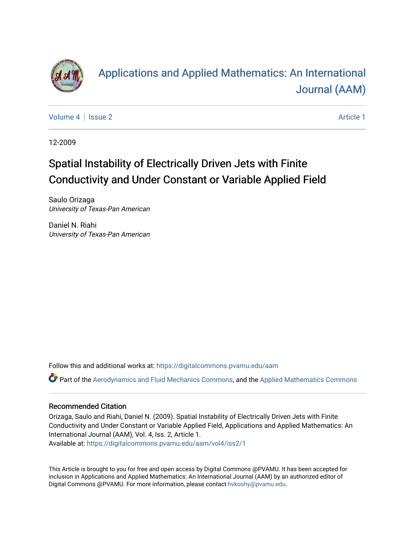

# [Applications and Applied Mathematics: An International](https://digitalcommons.pvamu.edu/aam)  [Journal \(AAM\)](https://digitalcommons.pvamu.edu/aam)

[Volume 4](https://digitalcommons.pvamu.edu/aam/vol4) | [Issue 2](https://digitalcommons.pvamu.edu/aam/vol4/iss2) Article 1

12-2009

# Spatial Instability of Electrically Driven Jets with Finite Conductivity and Under Constant or Variable Applied Field

Saulo Orizaga University of Texas-Pan American

Daniel N. Riahi University of Texas-Pan American

Follow this and additional works at: [https://digitalcommons.pvamu.edu/aam](https://digitalcommons.pvamu.edu/aam?utm_source=digitalcommons.pvamu.edu%2Faam%2Fvol4%2Fiss2%2F1&utm_medium=PDF&utm_campaign=PDFCoverPages) 

Part of the [Aerodynamics and Fluid Mechanics Commons,](http://network.bepress.com/hgg/discipline/222?utm_source=digitalcommons.pvamu.edu%2Faam%2Fvol4%2Fiss2%2F1&utm_medium=PDF&utm_campaign=PDFCoverPages) and the [Applied Mathematics Commons](http://network.bepress.com/hgg/discipline/115?utm_source=digitalcommons.pvamu.edu%2Faam%2Fvol4%2Fiss2%2F1&utm_medium=PDF&utm_campaign=PDFCoverPages) 

#### Recommended Citation

Orizaga, Saulo and Riahi, Daniel N. (2009). Spatial Instability of Electrically Driven Jets with Finite Conductivity and Under Constant or Variable Applied Field, Applications and Applied Mathematics: An International Journal (AAM), Vol. 4, Iss. 2, Article 1.

Available at: [https://digitalcommons.pvamu.edu/aam/vol4/iss2/1](https://digitalcommons.pvamu.edu/aam/vol4/iss2/1?utm_source=digitalcommons.pvamu.edu%2Faam%2Fvol4%2Fiss2%2F1&utm_medium=PDF&utm_campaign=PDFCoverPages) 

This Article is brought to you for free and open access by Digital Commons @PVAMU. It has been accepted for inclusion in Applications and Applied Mathematics: An International Journal (AAM) by an authorized editor of Digital Commons @PVAMU. For more information, please contact [hvkoshy@pvamu.edu.](mailto:hvkoshy@pvamu.edu)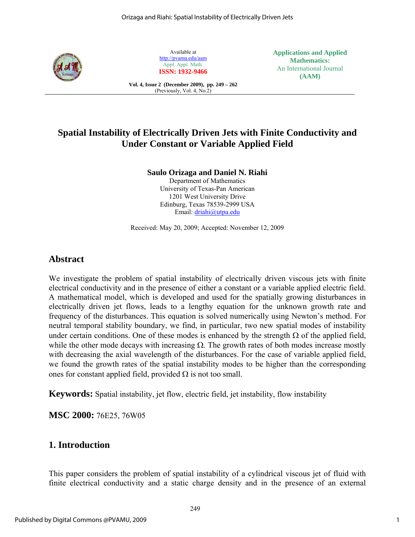

Available at http://pvamu.edu/aam Appl. Appl. Math. **ISSN: 1932-9466**

**Vol. 4, Issue 2 (December 2009), pp. 249 – 262**  (Previously, Vol. 4, No.2)

**Applications and Applied Mathematics:**  An International Journal **(AAM)** 

# **Spatial Instability of Electrically Driven Jets with Finite Conductivity and Under Constant or Variable Applied Field**

#### **Saulo Orizaga and Daniel N. Riahi**

Department of Mathematics University of Texas-Pan American 1201 West University Drive Edinburg, Texas 78539-2999 USA Email: driahi@utpa.edu

Received: May 20, 2009; Accepted: November 12, 2009

### **Abstract**

We investigate the problem of spatial instability of electrically driven viscous jets with finite electrical conductivity and in the presence of either a constant or a variable applied electric field. A mathematical model, which is developed and used for the spatially growing disturbances in electrically driven jet flows, leads to a lengthy equation for the unknown growth rate and frequency of the disturbances. This equation is solved numerically using Newton's method. For neutral temporal stability boundary, we find, in particular, two new spatial modes of instability under certain conditions. One of these modes is enhanced by the strength  $\Omega$  of the applied field, while the other mode decays with increasing  $\Omega$ . The growth rates of both modes increase mostly with decreasing the axial wavelength of the disturbances. For the case of variable applied field, we found the growth rates of the spatial instability modes to be higher than the corresponding ones for constant applied field, provided  $\Omega$  is not too small.

**Keywords:** Spatial instability, jet flow, electric field, jet instability, flow instability

**MSC 2000:** 76E25, 76W05

## **1. Introduction**

This paper considers the problem of spatial instability of a cylindrical viscous jet of fluid with finite electrical conductivity and a static charge density and in the presence of an external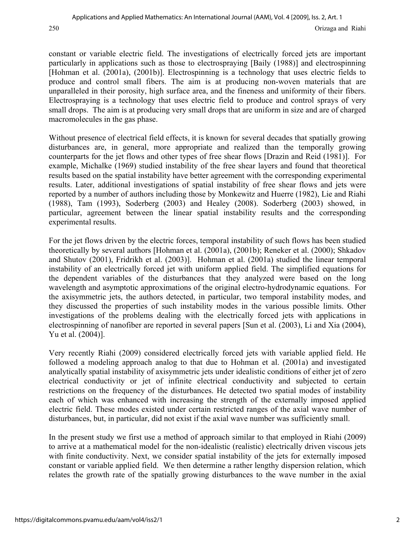constant or variable electric field. The investigations of electrically forced jets are important particularly in applications such as those to electrospraying [Baily (1988)] and electrospinning [Hohman et al. (2001a), (2001b)]. Electrospinning is a technology that uses electric fields to produce and control small fibers. The aim is at producing non-woven materials that are unparalleled in their porosity, high surface area, and the fineness and uniformity of their fibers. Electrospraying is a technology that uses electric field to produce and control sprays of very small drops. The aim is at producing very small drops that are uniform in size and are of charged macromolecules in the gas phase.

Without presence of electrical field effects, it is known for several decades that spatially growing disturbances are, in general, more appropriate and realized than the temporally growing counterparts for the jet flows and other types of free shear flows [Drazin and Reid (1981)]. For example, Michalke (1969) studied instability of the free shear layers and found that theoretical results based on the spatial instability have better agreement with the corresponding experimental results. Later, additional investigations of spatial instability of free shear flows and jets were reported by a number of authors including those by Monkewitz and Huerre (1982), Lie and Riahi (1988), Tam (1993), Soderberg (2003) and Healey (2008). Soderberg (2003) showed, in particular, agreement between the linear spatial instability results and the corresponding experimental results.

For the jet flows driven by the electric forces, temporal instability of such flows has been studied theoretically by several authors [Hohman et al. (2001a), (2001b); Reneker et al. (2000); Shkadov and Shutov (2001), Fridrikh et al. (2003)]. Hohman et al. (2001a) studied the linear temporal instability of an electrically forced jet with uniform applied field. The simplified equations for the dependent variables of the disturbances that they analyzed were based on the long wavelength and asymptotic approximations of the original electro-hydrodynamic equations. For the axisymmetric jets, the authors detected, in particular, two temporal instability modes, and they discussed the properties of such instability modes in the various possible limits. Other investigations of the problems dealing with the electrically forced jets with applications in electrospinning of nanofiber are reported in several papers [Sun et al. (2003), Li and Xia (2004), Yu et al. (2004)].

Very recently Riahi (2009) considered electrically forced jets with variable applied field. He followed a modeling approach analog to that due to Hohman et al. (2001a) and investigated analytically spatial instability of axisymmetric jets under idealistic conditions of either jet of zero electrical conductivity or jet of infinite electrical conductivity and subjected to certain restrictions on the frequency of the disturbances. He detected two spatial modes of instability each of which was enhanced with increasing the strength of the externally imposed applied electric field. These modes existed under certain restricted ranges of the axial wave number of disturbances, but, in particular, did not exist if the axial wave number was sufficiently small.

In the present study we first use a method of approach similar to that employed in Riahi (2009) to arrive at a mathematical model for the non-idealistic (realistic) electrically driven viscous jets with finite conductivity. Next, we consider spatial instability of the jets for externally imposed constant or variable applied field. We then determine a rather lengthy dispersion relation, which relates the growth rate of the spatially growing disturbances to the wave number in the axial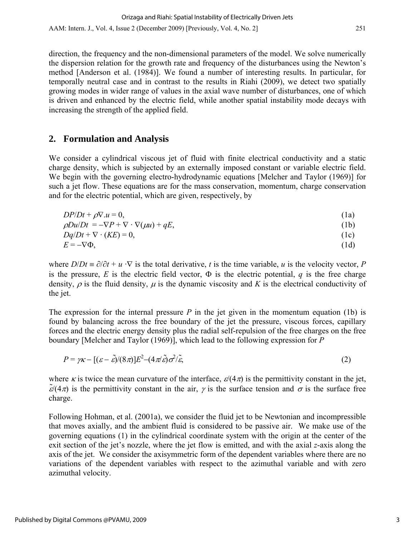direction, the frequency and the non-dimensional parameters of the model. We solve numerically the dispersion relation for the growth rate and frequency of the disturbances using the Newton's method [Anderson et al. (1984)]. We found a number of interesting results. In particular, for temporally neutral case and in contrast to the results in Riahi (2009), we detect two spatially growing modes in wider range of values in the axial wave number of disturbances, one of which is driven and enhanced by the electric field, while another spatial instability mode decays with increasing the strength of the applied field.

### **2. Formulation and Analysis**

We consider a cylindrical viscous jet of fluid with finite electrical conductivity and a static charge density, which is subjected by an externally imposed constant or variable electric field. We begin with the governing electro-hydrodynamic equations [Melcher and Taylor (1969)] for such a jet flow. These equations are for the mass conservation, momentum, charge conservation and for the electric potential, which are given, respectively, by

$$
DP/Dt + \rho \nabla \cdot u = 0,
$$
  
\n
$$
\rho Du/Dt = -\nabla P + \nabla \cdot \nabla(\mu u) + qE,
$$
\n(1a)  
\n(1b)

$$
Dq/Dt + \nabla \cdot (KE) = 0,\tag{1c}
$$

$$
E = -\nabla \Phi,\tag{1d}
$$

where  $D/Dt \equiv \partial/\partial t + u \cdot \nabla$  is the total derivative, *t* is the time variable, *u* is the velocity vector, *P* is the pressure, *E* is the electric field vector,  $\Phi$  is the electric potential, *q* is the free charge density,  $\rho$  is the fluid density,  $\mu$  is the dynamic viscosity and *K* is the electrical conductivity of the jet.

The expression for the internal pressure  $P$  in the jet given in the momentum equation (1b) is found by balancing across the free boundary of the jet the pressure, viscous forces, capillary forces and the electric energy density plus the radial self-repulsion of the free charges on the free boundary [Melcher and Taylor (1969)], which lead to the following expression for *P*

$$
P = \gamma \kappa - [(\varepsilon - \tilde{\varepsilon})/(8\pi)]E^2 - (4\pi \tilde{\varepsilon})\sigma^2/\tilde{\varepsilon},\tag{2}
$$

where  $\kappa$  is twice the mean curvature of the interface,  $\varepsilon/(4\pi)$  is the permittivity constant in the jet,  $\tilde{\varepsilon}/(4\pi)$  is the permittivity constant in the air,  $\gamma$  is the surface tension and  $\sigma$  is the surface free charge.

Following Hohman, et al. (2001a), we consider the fluid jet to be Newtonian and incompressible that moves axially, and the ambient fluid is considered to be passive air. We make use of the governing equations (1) in the cylindrical coordinate system with the origin at the center of the exit section of the jet's nozzle, where the jet flow is emitted, and with the axial *z*-axis along the axis of the jet. We consider the axisymmetric form of the dependent variables where there are no variations of the dependent variables with respect to the azimuthal variable and with zero azimuthal velocity.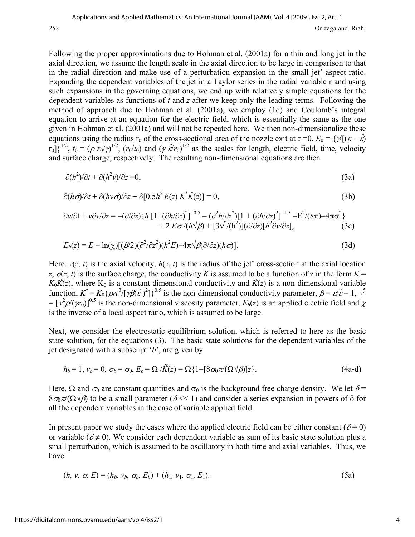Following the proper approximations due to Hohman et al. (2001a) for a thin and long jet in the axial direction, we assume the length scale in the axial direction to be large in comparison to that in the radial direction and make use of a perturbation expansion in the small jet' aspect ratio. Expanding the dependent variables of the jet in a Taylor series in the radial variable r and using such expansions in the governing equations, we end up with relatively simple equations for the dependent variables as functions of *t* and *z* after we keep only the leading terms. Following the method of approach due to Hohman et al. (2001a), we employ (1d) and Coulomb's integral equation to arrive at an equation for the electric field, which is essentially the same as the one given in Hohman et al. (2001a) and will not be repeated here. We then non-dimensionalize these equations using the radius r<sub>0</sub> of the cross-sectional area of the nozzle exit at  $z = 0$ ,  $E_0 = \{\gamma | (\varepsilon - \tilde{\varepsilon})\}$  $[r_0]$ <sup>1/2</sup>,  $t_0 = (\rho r_0/\gamma)^{1/2}$ ,  $(r_0/t_0)$  and  $(\gamma \tilde{\epsilon}/r_0)^{1/2}$  as the scales for length, electric field, time, velocity and surface charge, respectively. The resulting non-dimensional equations are then

$$
\partial(h^2)/\partial t + \partial(h^2 \nu)/\partial z = 0,
$$
\n(3a)

$$
\partial(h\sigma)/\partial t + \partial(h\nu\sigma)/\partial z + \partial[0.5h^2 E(z) K^* \tilde{K}(z)] = 0,
$$
\n(3b)

$$
\frac{\partial v}{\partial t} + v \frac{\partial v}{\partial z} = -(\frac{\partial}{\partial z}) \left\{ h \left[ 1 + (\frac{\partial h}{\partial z})^2 \right]^{-0.5} - (\frac{\partial^2 h}{\partial z^2}) \left[ 1 + (\frac{\partial h}{\partial z})^2 \right]^{-1.5} - E^2 / (8\pi) - 4\pi\sigma^2 \right\} + 2 E \sigma / (h \sqrt{\beta}) + [3v^* / (h^2)] (\frac{\partial}{\partial z}) [h^2 \frac{\partial v}{\partial z}],
$$
(3c)

$$
E_b(z) = E - \ln(\chi)[(\beta/2)(\partial^2/\partial z^2)(h^2 E) - 4\pi \sqrt{\beta(\partial/\partial z)(h\sigma)}].
$$
\n(3d)

Here,  $v(z, t)$  is the axial velocity,  $h(z, t)$  is the radius of the jet' cross-section at the axial location *z*,  $\sigma(z, t)$  is the surface charge, the conductivity *K* is assumed to be a function of *z* in the form  $K =$  $K_0\tilde{K}(z)$ , where  $K_0$  is a constant dimensional conductivity and  $\tilde{K}(z)$  is a non-dimensional variable function,  $K^* = K_0 \{ \rho r_0^3 / [\gamma \beta (\tilde{\varepsilon})^2] \}^{0.5}$  is the non-dimensional conductivity parameter,  $\beta = \varepsilon / \tilde{\varepsilon} - 1$ ,  $v^*$  $=[\hat{v}\hat{p}(\hat{n})]^{0.5}$  is the non-dimensional viscosity parameter,  $E_b(z)$  is an applied electric field and  $\chi$ is the inverse of a local aspect ratio, which is assumed to be large.

Next, we consider the electrostatic equilibrium solution, which is referred to here as the basic state solution, for the equations (3). The basic state solutions for the dependent variables of the jet designated with a subscript '*b*', are given by

$$
h_b = 1, v_b = 0, \sigma_b = \sigma_0, E_b = \Omega / \tilde{K}(z) = \Omega \{1 - [8\sigma_0 \pi / (\Omega \sqrt{\beta})]z\}.
$$
\n(4a-d)

Here,  $\Omega$  and  $\sigma_0$  are constant quantities and  $\sigma_0$  is the background free charge density. We let  $\delta$  =  $8\sigma_0\pi/(\Omega\sqrt{\beta})$  to be a small parameter ( $\delta \ll 1$ ) and consider a series expansion in powers of  $\delta$  for all the dependent variables in the case of variable applied field.

In present paper we study the cases where the applied electric field can be either constant ( $\delta = 0$ ) or variable ( $\delta \neq 0$ ). We consider each dependent variable as sum of its basic state solution plus a small perturbation, which is assumed to be oscillatory in both time and axial variables. Thus, we have

$$
(h, v, \sigma, E) = (h_b, v_b, \sigma_b, E_b) + (h_1, v_1, \sigma_1, E_1).
$$
\n(5a)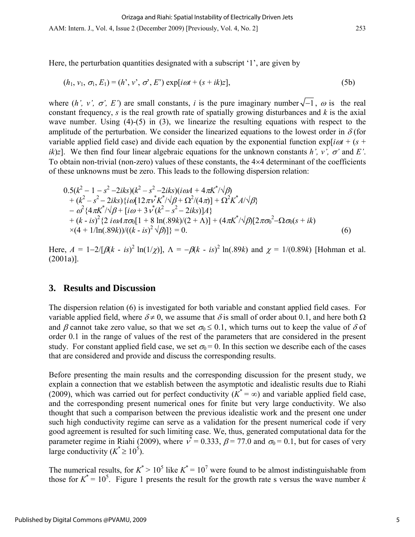AAM: Intern. J., Vol. 4, Issue 2 (December 2009) [Previously, Vol. 4, No. 2] 253

Here, the perturbation quantities designated with a subscript '1', are given by

$$
(h_1, v_1, \sigma_1, E_1) = (h', v', \sigma', E') \exp[i\omega t + (s + ik)z],
$$
\n(5b)

where  $(h', v', \sigma', E')$  are small constants, *i* is the pure imaginary number  $\sqrt{-1}$ ,  $\omega$  is the real constant frequency, *s* is the real growth rate of spatially growing disturbances and *k* is the axial wave number. Using (4)-(5) in (3), we linearize the resulting equations with respect to the amplitude of the perturbation. We consider the linearized equations to the lowest order in  $\delta$  (for variable applied field case) and divide each equation by the exponential function  $exp[i\omega t + (s +$ *ik*)*z*]. We then find four linear algebraic equations for the unknown constants *h', v',*  $\sigma'$  and *E'*. To obtain non-trivial (non-zero) values of these constants, the  $4\times4$  determinant of the coefficients of these unknowns must be zero. This leads to the following dispersion relation:

$$
0.5(k2 - 1 - s2 - 2iks)(k2 - s2 - 2iks)(i\omega A + 4\pi K*/\sqrt{\beta}) + (k2 - s2 - 2iks)\{i\omega[12\pi v* K*/\sqrt{\beta} + \Omega2/(4\pi)] + \Omega2K* A/\sqrt{\beta} - \omega2 {4\pi K*/\sqrt{\beta} + [i\omega + 3 v*(k2 - s2 - 2iks)]A} + (k - is)2 {2 i\omega A \pi\sigma0[1 + 8 ln(.89k)/(2 + \Lambda)] + (4\pi K*/\sqrt{\beta}] [2\pi\sigma02 - \Omega\sigma0(s + ik)\times(4 + 1/ln(.89k))/(k - is)2 \sqrt{\beta}] } = 0.
$$
\n(6)

Here,  $A = 1-2/[\beta(k - is)^2 \ln(1/\chi)]$ ,  $\Lambda = -\beta(k - is)^2 \ln(.89k)$  and  $\chi = 1/(0.89k)$  [Hohman et al. (2001a)].

#### **3. Results and Discussion**

The dispersion relation (6) is investigated for both variable and constant applied field cases. For variable applied field, where  $\delta \neq 0$ , we assume that  $\delta$  is small of order about 0.1, and here both  $\Omega$ and  $\beta$  cannot take zero value, so that we set  $\sigma_0 \le 0.1$ , which turns out to keep the value of  $\delta$  of order 0.1 in the range of values of the rest of the parameters that are considered in the present study. For constant applied field case, we set  $\sigma_0 = 0$ . In this section we describe each of the cases that are considered and provide and discuss the corresponding results.

Before presenting the main results and the corresponding discussion for the present study, we explain a connection that we establish between the asymptotic and idealistic results due to Riahi (2009), which was carried out for perfect conductivity  $(K^* = \infty)$  and variable applied field case, and the corresponding present numerical ones for finite but very large conductivity. We also thought that such a comparison between the previous idealistic work and the present one under such high conductivity regime can serve as a validation for the present numerical code if very good agreement is resulted for such limiting case. We, thus, generated computational data for the parameter regime in Riahi (2009), where  $v^* = 0.333$ ,  $\beta = 77.0$  and  $\sigma_0 = 0.1$ , but for cases of very large conductivity  $(K^* \ge 10^5)$ .

The numerical results, for  $K^* > 10^5$  like  $K^* = 10^7$  were found to be almost indistinguishable from those for  $K^* = 10^5$ . Figure 1 presents the result for the growth rate s versus the wave number *k*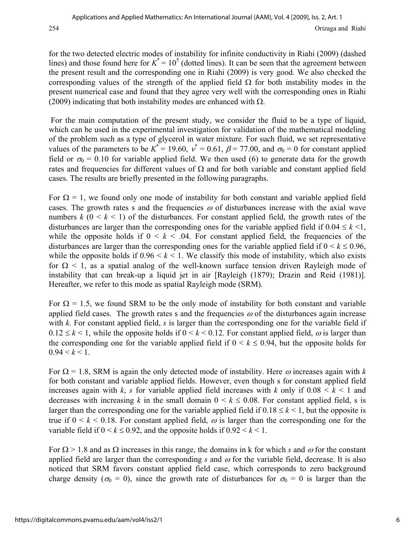for the two detected electric modes of instability for infinite conductivity in Riahi (2009) (dashed lines) and those found here for  $K^* = 10^5$  (dotted lines). It can be seen that the agreement between the present result and the corresponding one in Riahi (2009) is very good. We also checked the corresponding values of the strength of the applied field  $\Omega$  for both instability modes in the present numerical case and found that they agree very well with the corresponding ones in Riahi (2009) indicating that both instability modes are enhanced with  $\Omega$ .

 For the main computation of the present study, we consider the fluid to be a type of liquid, which can be used in the experimental investigation for validation of the mathematical modeling of the problem such as a type of glycerol in water mixture. For such fluid, we set representative values of the parameters to be  $K^* = 19.60$ ,  $v^* = 0.61$ ,  $\beta = 77.00$ , and  $\sigma_0 = 0$  for constant applied field or  $\sigma_0 = 0.10$  for variable applied field. We then used (6) to generate data for the growth rates and frequencies for different values of  $\Omega$  and for both variable and constant applied field cases. The results are briefly presented in the following paragraphs.

For  $\Omega = 1$ , we found only one mode of instability for both constant and variable applied field cases. The growth rates s and the frequencies  $\omega$  of disturbances increase with the axial wave numbers  $k$  ( $0 \le k \le 1$ ) of the disturbances. For constant applied field, the growth rates of the disturbances are larger than the corresponding ones for the variable applied field if  $0.04 \leq k \leq 1$ , while the opposite holds if  $0 \le k \le 0.04$ . For constant applied field, the frequencies of the disturbances are larger than the corresponding ones for the variable applied field if  $0 \le k \le 0.96$ , while the opposite holds if  $0.96 \le k \le 1$ . We classify this mode of instability, which also exists for  $\Omega$  < 1, as a spatial analog of the well-known surface tension driven Rayleigh mode of instability that can break-up a liquid jet in air [Rayleigh (1879); Drazin and Reid (1981)]. Hereafter, we refer to this mode as spatial Rayleigh mode (SRM).

For  $\Omega = 1.5$ , we found SRM to be the only mode of instability for both constant and variable applied field cases. The growth rates s and the frequencies  $\omega$  of the disturbances again increase with *k*. For constant applied field, *s* is larger than the corresponding one for the variable field if  $0.12 \le k \le 1$ , while the opposite holds if  $0 \le k \le 0.12$ . For constant applied field,  $\omega$  is larger than the corresponding one for the variable applied field if  $0 \le k \le 0.94$ , but the opposite holds for  $0.94 \leq k \leq 1$ .

For  $\Omega = 1.8$ , SRM is again the only detected mode of instability. Here  $\omega$  increases again with *k* for both constant and variable applied fields. However, even though s for constant applied field increases again with  $k$ ,  $s$  for variable applied field increases with  $k$  only if  $0.08 \leq k \leq 1$  and decreases with increasing *k* in the small domain  $0 \le k \le 0.08$ . For constant applied field, s is larger than the corresponding one for the variable applied field if  $0.18 \le k \le 1$ , but the opposite is true if  $0 \le k \le 0.18$ . For constant applied field,  $\omega$  is larger than the corresponding one for the variable field if  $0 \le k \le 0.92$ , and the opposite holds if  $0.92 \le k \le 1$ .

For  $\Omega > 1.8$  and as  $\Omega$  increases in this range, the domains in k for which *s* and  $\omega$  for the constant applied field are larger than the corresponding  $s$  and  $\omega$  for the variable field, decrease. It is also noticed that SRM favors constant applied field case, which corresponds to zero background charge density ( $\sigma_0 = 0$ ), since the growth rate of disturbances for  $\sigma_0 = 0$  is larger than the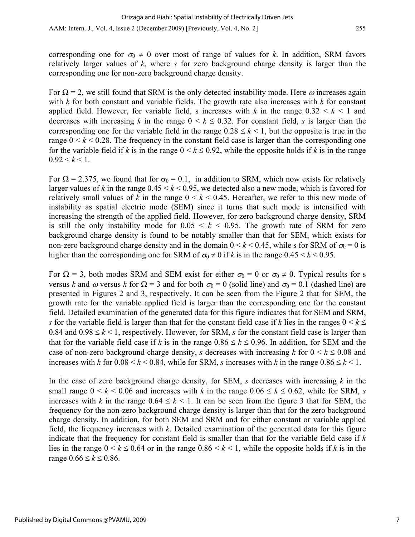AAM: Intern. J., Vol. 4, Issue 2 (December 2009) [Previously, Vol. 4, No. 2] 255

corresponding one for  $\sigma_0 \neq 0$  over most of range of values for *k*. In addition, SRM favors relatively larger values of *k*, where *s* for zero background charge density is larger than the corresponding one for non-zero background charge density.

For  $\Omega = 2$ , we still found that SRM is the only detected instability mode. Here  $\omega$  increases again with *k* for both constant and variable fields. The growth rate also increases with *k* for constant applied field. However, for variable field, s increases with  $k$  in the range  $0.32 \leq k \leq 1$  and decreases with increasing *k* in the range  $0 \le k \le 0.32$ . For constant field, *s* is larger than the corresponding one for the variable field in the range  $0.28 \le k \le 1$ , but the opposite is true in the range  $0 \le k \le 0.28$ . The frequency in the constant field case is larger than the corresponding one for the variable field if *k* is in the range  $0 \le k \le 0.92$ , while the opposite holds if *k* is in the range  $0.92 \leq k \leq 1$ .

For  $\Omega$  = 2.375, we found that for  $\sigma_0$  = 0.1, in addition to SRM, which now exists for relatively larger values of *k* in the range  $0.45 \le k \le 0.95$ , we detected also a new mode, which is favored for relatively small values of  $k$  in the range  $0 \le k \le 0.45$ . Hereafter, we refer to this new mode of instability as spatial electric mode (SEM) since it turns that such mode is intensified with increasing the strength of the applied field. However, for zero background charge density, SRM is still the only instability mode for  $0.05 \le k \le 0.95$ . The growth rate of SRM for zero background charge density is found to be notably smaller than that for SEM, which exists for non-zero background charge density and in the domain  $0 \le k \le 0.45$ , while s for SRM of  $\sigma_0 = 0$  is higher than the corresponding one for SRM of  $\sigma_0 \neq 0$  if *k* is in the range  $0.45 \leq k \leq 0.95$ .

For  $\Omega = 3$ , both modes SRM and SEM exist for either  $\sigma_0 = 0$  or  $\sigma_0 \neq 0$ . Typical results for s versus *k* and  $\omega$  versus *k* for  $\Omega = 3$  and for both  $\sigma_0 = 0$  (solid line) and  $\sigma_0 = 0.1$  (dashed line) are presented in Figures 2 and 3, respectively. It can be seen from the Figure 2 that for SEM, the growth rate for the variable applied field is larger than the corresponding one for the constant field. Detailed examination of the generated data for this figure indicates that for SEM and SRM, *s* for the variable field is larger than that for the constant field case if *k* lies in the ranges  $0 \le k \le$ 0.84 and  $0.98 \le k \le 1$ , respectively. However, for SRM, *s* for the constant field case is larger than that for the variable field case if *k* is in the range  $0.86 \le k \le 0.96$ . In addition, for SEM and the case of non-zero background charge density, *s* decreases with increasing *k* for  $0 \le k \le 0.08$  and increases with *k* for  $0.08 \le k \le 0.84$ , while for SRM, *s* increases with *k* in the range  $0.86 \le k \le 1$ .

In the case of zero background charge density, for SEM, *s* decreases with increasing *k* in the small range  $0 \le k \le 0.06$  and increases with *k* in the range  $0.06 \le k \le 0.62$ , while for SRM, *s* increases with *k* in the range  $0.64 \leq k \leq 1$ . It can be seen from the figure 3 that for SEM, the frequency for the non-zero background charge density is larger than that for the zero background charge density. In addition, for both SEM and SRM and for either constant or variable applied field, the frequency increases with *k*. Detailed examination of the generated data for this figure indicate that the frequency for constant field is smaller than that for the variable field case if *k* lies in the range  $0 \le k \le 0.64$  or in the range  $0.86 \le k \le 1$ , while the opposite holds if k is in the range  $0.66 \le k \le 0.86$ .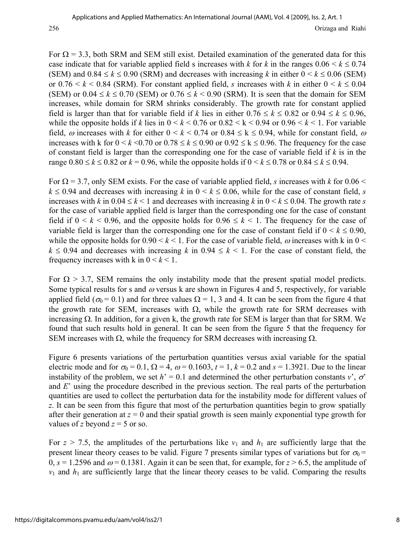For  $\Omega$  = 3.3, both SRM and SEM still exist. Detailed examination of the generated data for this case indicate that for variable applied field s increases with *k* for *k* in the ranges  $0.06 \le k \le 0.74$ (SEM) and  $0.84 \le k \le 0.90$  (SRM) and decreases with increasing *k* in either  $0 \le k \le 0.06$  (SEM) or  $0.76 \le k \le 0.84$  (SRM). For constant applied field, *s* increases with *k* in either  $0 \le k \le 0.04$ (SEM) or  $0.04 \le k \le 0.70$  (SEM) or  $0.76 \le k \le 0.90$  (SRM). It is seen that the domain for SEM increases, while domain for SRM shrinks considerably. The growth rate for constant applied field is larger than that for variable field if *k* lies in either  $0.76 \le k \le 0.82$  or  $0.94 \le k \le 0.96$ , while the opposite holds if *k* lies in  $0 \le k \le 0.76$  or  $0.82 \le k \le 0.94$  or  $0.96 \le k \le 1$ . For variable field,  $\omega$  increases with *k* for either  $0 \le k \le 0.74$  or  $0.84 \le k \le 0.94$ , while for constant field,  $\omega$ increases with k for  $0 \le k \le 0.70$  or  $0.78 \le k \le 0.90$  or  $0.92 \le k \le 0.96$ . The frequency for the case of constant field is larger than the corresponding one for the case of variable field if *k* is in the range  $0.80 \le k \le 0.82$  or  $k = 0.96$ , while the opposite holds if  $0 \le k \le 0.78$  or  $0.84 \le k \le 0.94$ .

For  $\Omega$  = 3.7, only SEM exists. For the case of variable applied field, *s* increases with *k* for 0.06 <  $k \leq 0.94$  and decreases with increasing *k* in  $0 \leq k \leq 0.06$ , while for the case of constant field, *s* increases with *k* in  $0.04 \le k \le 1$  and decreases with increasing *k* in  $0 \le k \le 0.04$ . The growth rate *s* for the case of variable applied field is larger than the corresponding one for the case of constant field if  $0 \le k \le 0.96$ , and the opposite holds for  $0.96 \le k \le 1$ . The frequency for the case of variable field is larger than the corresponding one for the case of constant field if  $0 \le k \le 0.90$ , while the opposite holds for  $0.90 \le k \le 1$ . For the case of variable field,  $\omega$  increases with k in  $0 \le k \le 1$ .  $k \le 0.94$  and decreases with increasing *k* in  $0.94 \le k \le 1$ . For the case of constant field, the frequency increases with k in  $0 < k < 1$ .

For  $\Omega > 3.7$ , SEM remains the only instability mode that the present spatial model predicts. Some typical results for s and  $\omega$  versus k are shown in Figures 4 and 5, respectively, for variable applied field ( $\sigma_0 = 0.1$ ) and for three values  $\Omega = 1$ , 3 and 4. It can be seen from the figure 4 that the growth rate for SEM, increases with  $\Omega$ , while the growth rate for SRM decreases with increasing  $\Omega$ . In addition, for a given k, the growth rate for SEM is larger than that for SRM. We found that such results hold in general. It can be seen from the figure 5 that the frequency for SEM increases with  $\Omega$ , while the frequency for SRM decreases with increasing  $\Omega$ .

Figure 6 presents variations of the perturbation quantities versus axial variable for the spatial electric mode and for  $\sigma_0 = 0.1$ ,  $\Omega = 4$ ,  $\omega = 0.1603$ ,  $t = 1$ ,  $k = 0.2$  and  $s = 1.3921$ . Due to the linear instability of the problem, we set  $h' = 0.1$  and determined the other perturbation constants *v*<sup>'</sup>,  $\sigma$ <sup>'</sup> and *E*' using the procedure described in the previous section. The real parts of the perturbation quantities are used to collect the perturbation data for the instability mode for different values of *z*. It can be seen from this figure that most of the perturbation quantities begin to grow spatially after their generation at  $z = 0$  and their spatial growth is seen mainly exponential type growth for values of *z* beyond  $z = 5$  or so.

For  $z > 7.5$ , the amplitudes of the perturbations like  $v_1$  and  $h_1$  are sufficiently large that the present linear theory ceases to be valid. Figure 7 presents similar types of variations but for  $\sigma_0$  =  $0, s = 1.2596$  and  $\omega = 0.1381$ . Again it can be seen that, for example, for  $z > 6.5$ , the amplitude of  $v_1$  and  $h_1$  are sufficiently large that the linear theory ceases to be valid. Comparing the results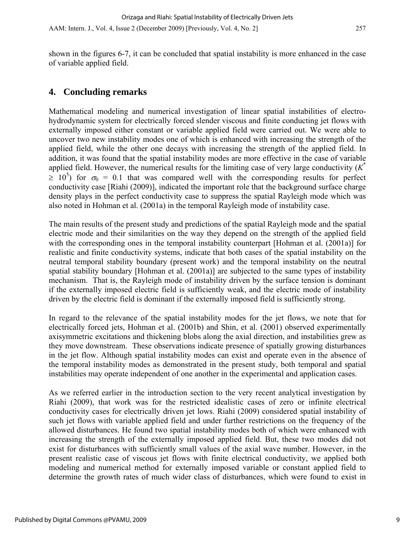shown in the figures 6-7, it can be concluded that spatial instability is more enhanced in the case of variable applied field.

## **4. Concluding remarks**

Mathematical modeling and numerical investigation of linear spatial instabilities of electrohydrodynamic system for electrically forced slender viscous and finite conducting jet flows with externally imposed either constant or variable applied field were carried out. We were able to uncover two new instability modes one of which is enhanced with increasing the strength of the applied field, while the other one decays with increasing the strength of the applied field. In addition, it was found that the spatial instability modes are more effective in the case of variable applied field. However, the numerical results for the limiting case of very large conductivity (*K*\*  $\geq 10^5$ ) for  $\sigma_0 = 0.1$  that was compared well with the corresponding results for perfect conductivity case [Riahi (2009)], indicated the important role that the background surface charge density plays in the perfect conductivity case to suppress the spatial Rayleigh mode which was also noted in Hohman et al. (2001a) in the temporal Rayleigh mode of instability case.

The main results of the present study and predictions of the spatial Rayleigh mode and the spatial electric mode and their similarities on the way they depend on the strength of the applied field with the corresponding ones in the temporal instability counterpart [Hohman et al. (2001a)] for realistic and finite conductivity systems, indicate that both cases of the spatial instability on the neutral temporal stability boundary (present work) and the temporal instability on the neutral spatial stability boundary [Hohman et al. (2001a)] are subjected to the same types of instability mechanism. That is, the Rayleigh mode of instability driven by the surface tension is dominant if the externally imposed electric field is sufficiently weak, and the electric mode of instability driven by the electric field is dominant if the externally imposed field is sufficiently strong.

In regard to the relevance of the spatial instability modes for the jet flows, we note that for electrically forced jets, Hohman et al. (2001b) and Shin, et al. (2001) observed experimentally axisymmetric excitations and thickening blobs along the axial direction, and instabilities grew as they move downstream. These observations indicate presence of spatially growing disturbances in the jet flow. Although spatial instability modes can exist and operate even in the absence of the temporal instability modes as demonstrated in the present study, both temporal and spatial instabilities may operate independent of one another in the experimental and application cases.

As we referred earlier in the introduction section to the very recent analytical investigation by Riahi (2009), that work was for the restricted idealistic cases of zero or infinite electrical conductivity cases for electrically driven jet lows. Riahi (2009) considered spatial instability of such jet flows with variable applied field and under further restrictions on the frequency of the allowed disturbances. He found two spatial instability modes both of which were enhanced with increasing the strength of the externally imposed applied field. But, these two modes did not exist for disturbances with sufficiently small values of the axial wave number. However, in the present realistic case of viscous jet flows with finite electrical conductivity, we applied both modeling and numerical method for externally imposed variable or constant applied field to determine the growth rates of much wider class of disturbances, which were found to exist in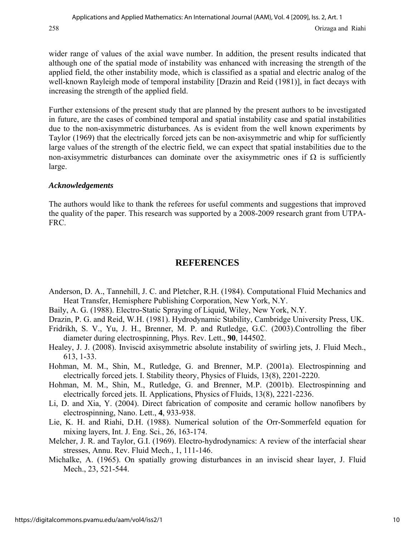wider range of values of the axial wave number. In addition, the present results indicated that although one of the spatial mode of instability was enhanced with increasing the strength of the applied field, the other instability mode, which is classified as a spatial and electric analog of the well-known Rayleigh mode of temporal instability [Drazin and Reid (1981)], in fact decays with increasing the strength of the applied field.

Further extensions of the present study that are planned by the present authors to be investigated in future, are the cases of combined temporal and spatial instability case and spatial instabilities due to the non-axisymmetric disturbances. As is evident from the well known experiments by Taylor (1969) that the electrically forced jets can be non-axisymmetric and whip for sufficiently large values of the strength of the electric field, we can expect that spatial instabilities due to the non-axisymmetric disturbances can dominate over the axisymmetric ones if  $\Omega$  is sufficiently large.

#### *Acknowledgements*

The authors would like to thank the referees for useful comments and suggestions that improved the quality of the paper. This research was supported by a 2008-2009 research grant from UTPA-FRC.

## **REFERENCES**

- Anderson, D. A., Tannehill, J. C. and Pletcher, R.H. (1984). Computational Fluid Mechanics and Heat Transfer, Hemisphere Publishing Corporation, New York, N.Y.
- Baily, A. G. (1988). Electro-Static Spraying of Liquid, Wiley, New York, N.Y.
- Drazin, P. G. and Reid, W.H. (1981). Hydrodynamic Stability, Cambridge University Press, UK.
- Fridrikh, S. V., Yu, J. H., Brenner, M. P. and Rutledge, G.C. (2003).Controlling the fiber diameter during electrospinning, Phys. Rev. Lett., **90**, 144502.
- Healey, J. J. (2008). Inviscid axisymmetric absolute instability of swirling jets, J. Fluid Mech., 613, 1-33.
- Hohman, M. M., Shin, M., Rutledge, G. and Brenner, M.P. (2001a). Electrospinning and electrically forced jets. I. Stability theory, Physics of Fluids, 13(8), 2201-2220.
- Hohman, M. M., Shin, M., Rutledge, G. and Brenner, M.P. (2001b). Electrospinning and electrically forced jets. II. Applications, Physics of Fluids, 13(8), 2221-2236.
- Li, D. and Xia, Y. (2004). Direct fabrication of composite and ceramic hollow nanofibers by electrospinning, Nano. Lett., **4**, 933-938.
- Lie, K. H. and Riahi, D.H. (1988). Numerical solution of the Orr-Sommerfeld equation for mixing layers, Int. J. Eng. Sci., 26, 163-174.
- Melcher, J. R. and Taylor, G.I. (1969). Electro-hydrodynamics: A review of the interfacial shear stresses, Annu. Rev. Fluid Mech., 1, 111-146.
- Michalke, A. (1965). On spatially growing disturbances in an inviscid shear layer, J. Fluid Mech., 23, 521-544.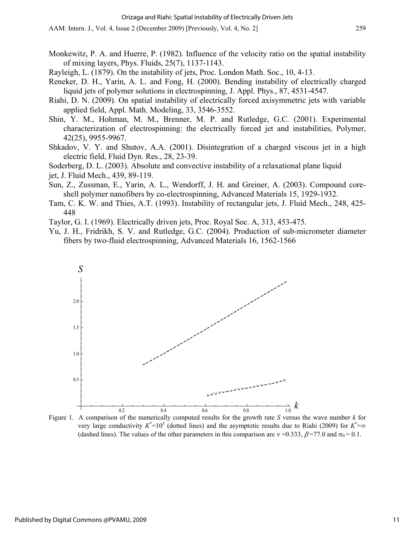- Monkewitz, P. A. and Huerre, P. (1982). Influence of the velocity ratio on the spatial instability of mixing layers, Phys. Fluids, 25(7), 1137-1143.
- Rayleigh, L. (1879). On the instability of jets, Proc. London Math. Soc., 10, 4-13.
- Reneker, D. H., Yarin, A. L. and Fong, H. (2000). Bending instability of electrically charged liquid jets of polymer solutions in electrospinning, J. Appl. Phys., 87, 4531-4547.
- Riahi, D. N. (2009). On spatial instability of electrically forced axisymmetric jets with variable applied field, Appl. Math. Modeling, 33, 3546-3552.
- Shin, Y. M., Hohman, M. M., Brenner, M. P. and Rutledge, G.C. (2001). Experimental characterization of electrospinning: the electrically forced jet and instabilities, Polymer, 42(25), 9955-9967.
- Shkadov, V. Y. and Shutov, A.A. (2001). Disintegration of a charged viscous jet in a high electric field, Fluid Dyn. Res., 28, 23-39.

Soderberg, D. L. (2003). Absolute and convective instability of a relaxational plane liquid

jet, J. Fluid Mech., 439, 89-119.

- Sun, Z., Zussman, E., Yarin, A. L., Wendorff, J. H. and Greiner, A. (2003). Compound coreshell polymer nanofibers by co-electrospinning, Advanced Materials 15, 1929-1932.
- Tam, C. K. W. and Thies, A.T. (1993). Instability of rectangular jets, J. Fluid Mech., 248, 425- 448
- Taylor, G. I. (1969). Electrically driven jets, Proc. Royal Soc. A, 313, 453-475.
- Yu, J. H., Fridrikh, S. V. and Rutledge, G.C. (2004). Production of sub-micrometer diameter fibers by two-fluid electrospinning, Advanced Materials 16, 1562-1566



Figure 1. A comparison of the numerically computed results for the growth rate *S* versus the wave number *k* for very large conductivity  $K^*=10^5$  (dotted lines) and the asymptotic results due to Riahi (2009) for  $K^*=\infty$ (dashed lines). The values of the other parameters in this comparison are  $v = 0.333$ ,  $\beta = 77.0$  and  $\sigma_0 = 0.1$ .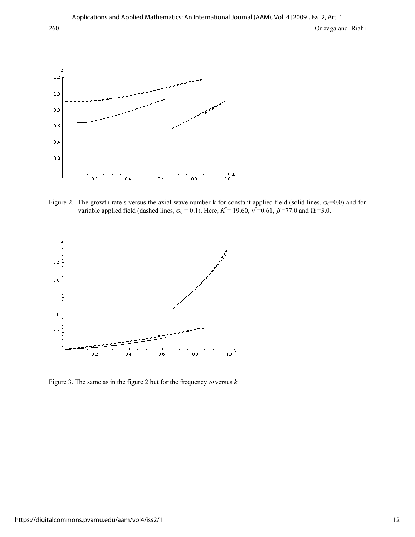$\overline{\mathbf{5}}$ 

 $0\,\delta$ 

 $12\,$ 

 $1.0\,$ 

 $_{0.8}$ 

 $0.6$ 

 $0.4$ 

 $\bf 0.2$ 

 $0.2$ 

 $0.4$ 



 $_{0.8}$ 

variable applied field (dashed lines,  $\sigma_0 = 0.1$ ). Here,  $K^* = 19.60$ ,  $v^* = 0.61$ ,  $\beta = 77.0$  and  $\Omega = 3.0$ .



Figure 3. The same as in the figure 2 but for the frequency  $\omega$  versus  $k$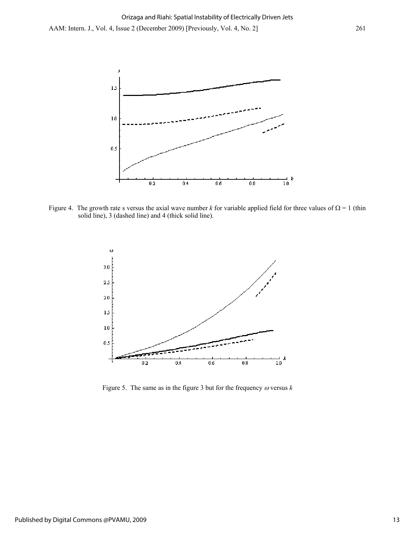

Figure 4. The growth rate s versus the axial wave number *k* for variable applied field for three values of  $\Omega = 1$  (thin solid line), 3 (dashed line) and 4 (thick solid line).



Figure 5. The same as in the figure 3 but for the frequency  $\omega$  versus  $k$